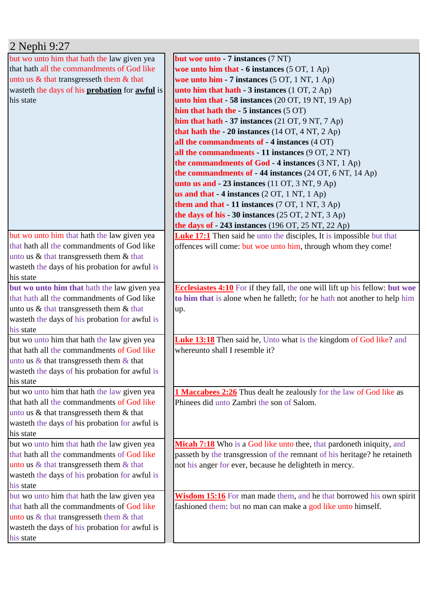| 2 Nephi 9:27                                                |                                                                                     |
|-------------------------------------------------------------|-------------------------------------------------------------------------------------|
| but wo unto him that hath the law given yea                 | but woe unto - 7 instances (7 NT)                                                   |
| that hath all the commandments of God like                  | woe unto him that $-6$ instances $(5 \text{ OT}, 1 \text{ Ap})$                     |
| unto us $\&$ that transgresseth them $\&$ that              | woe unto him - 7 instances (5 OT, 1 NT, 1 Ap)                                       |
| wasteth the days of his probation for awful is              | unto him that hath $-3$ instances (1 OT, 2 Ap)                                      |
| his state                                                   | unto him that $-58$ instances (20 OT, 19 NT, 19 Ap)                                 |
|                                                             | him that hath the $-5$ instances $(5 \text{ OT})$                                   |
|                                                             | him that hath $-37$ instances (21 OT, 9 NT, 7 Ap)                                   |
|                                                             | that hath the - 20 instances $(14 OT, 4 NT, 2 Ap)$                                  |
|                                                             | all the commandments of - 4 instances (4 OT)                                        |
|                                                             | all the commandments - 11 instances (9 OT, 2 NT)                                    |
|                                                             | the commandments of God - 4 instances (3 NT, 1 Ap)                                  |
|                                                             | the commandments of $-44$ instances (24 OT, 6 NT, 14 Ap)                            |
|                                                             | unto us and $-23$ instances (11 OT, 3 NT, 9 Ap)                                     |
|                                                             | us and that $-4$ instances (2 OT, 1 NT, 1 Ap)                                       |
|                                                             | them and that - 11 instances (7 OT, 1 NT, 3 Ap)                                     |
|                                                             | the days of his - 30 instances $(25 \text{ OT}, 2 \text{ NT}, 3 \text{ Ap})$        |
|                                                             | the days of $-243$ instances (196 OT, 25 NT, 22 Ap)                                 |
| but wo unto him that hath the law given yea                 | <b>Luke 17:1</b> Then said he unto the disciples, It is impossible but that         |
| that hath all the commandments of God like                  | offences will come: but woe unto him, through whom they come!                       |
| unto us & that transgresseth them & that                    |                                                                                     |
| wasteth the days of his probation for awful is              |                                                                                     |
| his state                                                   |                                                                                     |
| but wo unto him that hath the law given yea                 | <b>Ecclesiastes 4:10</b> For if they fall, the one will lift up his fellow: but woe |
| that hath all the commandments of God like                  | to him that is alone when he falleth; for he hath not another to help him           |
| unto us & that transgresseth them & that                    | up.                                                                                 |
| wasteth the days of his probation for awful is              |                                                                                     |
| his state                                                   |                                                                                     |
| but wo unto him that hath the law given yea                 | <b>Luke 13:18</b> Then said he, Unto what is the kingdom of God like? and           |
| that hath all the commandments of God like                  | whereunto shall I resemble it?                                                      |
| unto us $\&$ that transgresseth them $\&$ that              |                                                                                     |
| wasteth the days of his probation for awful is<br>his state |                                                                                     |
| but wo unto him that hath the law given yea                 | <b>1 Maccabees 2:26</b> Thus dealt he zealously for the law of God like as          |
| that hath all the commandments of God like                  | Phinees did unto Zambri the son of Salom.                                           |
| unto us & that transgresseth them & that                    |                                                                                     |
| wasteth the days of his probation for awful is              |                                                                                     |
| his state                                                   |                                                                                     |
| but wo unto him that hath the law given yea                 | Micah 7:18 Who is a God like unto thee, that pardoneth iniquity, and                |
| that hath all the commandments of God like                  | passeth by the transgression of the remnant of his heritage? he retaineth           |
| unto us & that transgresseth them & that                    | not his anger for ever, because he delighteth in mercy.                             |
| wasteth the days of his probation for awful is              |                                                                                     |
| his state                                                   |                                                                                     |
| but wo unto him that hath the law given yea                 | Wisdom 15:16 For man made them, and he that borrowed his own spirit                 |
| that hath all the commandments of God like                  | fashioned them: but no man can make a god like unto himself.                        |
| unto us & that transgresseth them & that                    |                                                                                     |
| wasteth the days of his probation for awful is              |                                                                                     |
| his state                                                   |                                                                                     |